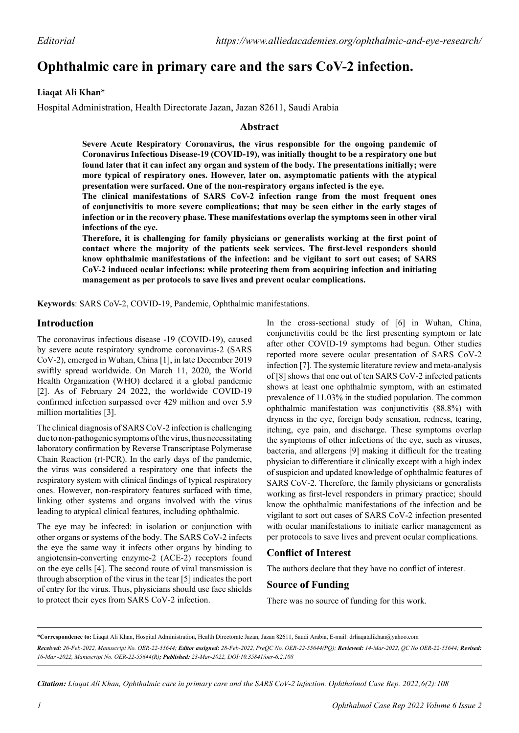# **Ophthalmic care in primary care and the sars CoV-2 infection.**

## **Liaqat Ali Khan\***

Hospital Administration, Health Directorate Jazan, Jazan 82611, Saudi Arabia

#### **Abstract**

**Severe Acute Respiratory Coronavirus, the virus responsible for the ongoing pandemic of Coronavirus Infectious Disease-19 (COVID-19), was initially thought to be a respiratory one but found later that it can infect any organ and system of the body. The presentations initially; were more typical of respiratory ones. However, later on, asymptomatic patients with the atypical presentation were surfaced. One of the non-respiratory organs infected is the eye.**

**The clinical manifestations of SARS CoV-2 infection range from the most frequent ones of conjunctivitis to more severe complications; that may be seen either in the early stages of infection or in the recovery phase. These manifestations overlap the symptoms seen in other viral infections of the eye.** 

**Therefore, it is challenging for family physicians or generalists working at the first point of contact where the majority of the patients seek services. The first-level responders should know ophthalmic manifestations of the infection: and be vigilant to sort out cases; of SARS CoV-2 induced ocular infections: while protecting them from acquiring infection and initiating management as per protocols to save lives and prevent ocular complications.**

**Keywords**: SARS CoV-2, COVID-19, Pandemic, Ophthalmic manifestations.

## **Introduction**

The coronavirus infectious disease -19 (COVID-19), caused by severe acute respiratory syndrome coronavirus-2 (SARS CoV-2), emerged in Wuhan, China [1], in late December 2019 swiftly spread worldwide. On March 11, 2020, the World Health Organization (WHO) declared it a global pandemic [2]. As of February 24 2022, the worldwide COVID-19 confirmed infection surpassed over 429 million and over 5.9 million mortalities [3].

The clinical diagnosis of SARS CoV-2 infection is challenging due to non-pathogenic symptoms of the virus, thus necessitating laboratory confirmation by Reverse Transcriptase Polymerase Chain Reaction (rt-PCR). In the early days of the pandemic, the virus was considered a respiratory one that infects the respiratory system with clinical findings of typical respiratory ones. However, non-respiratory features surfaced with time, linking other systems and organs involved with the virus leading to atypical clinical features, including ophthalmic.

The eye may be infected: in isolation or conjunction with other organs or systems of the body. The SARS CoV-2 infects the eye the same way it infects other organs by binding to angiotensin-converting enzyme-2 (ACE-2) receptors found on the eye cells [4]. The second route of viral transmission is through absorption of the virus in the tear [5] indicates the port of entry for the virus. Thus, physicians should use face shields to protect their eyes from SARS CoV-2 infection.

In the cross-sectional study of [6] in Wuhan, China, conjunctivitis could be the first presenting symptom or late after other COVID-19 symptoms had begun. Other studies reported more severe ocular presentation of SARS CoV-2 infection [7]. The systemic literature review and meta-analysis of [8] shows that one out of ten SARS CoV-2 infected patients shows at least one ophthalmic symptom, with an estimated prevalence of 11.03% in the studied population. The common ophthalmic manifestation was conjunctivitis (88.8%) with dryness in the eye, foreign body sensation, redness, tearing, itching, eye pain, and discharge. These symptoms overlap the symptoms of other infections of the eye, such as viruses, bacteria, and allergens [9] making it difficult for the treating physician to differentiate it clinically except with a high index of suspicion and updated knowledge of ophthalmic features of SARS CoV-2. Therefore, the family physicians or generalists working as first-level responders in primary practice; should know the ophthalmic manifestations of the infection and be vigilant to sort out cases of SARS CoV-2 infection presented with ocular manifestations to initiate earlier management as per protocols to save lives and prevent ocular complications.

## **Conflict of Interest**

The authors declare that they have no conflict of interest.

#### **Source of Funding**

There was no source of funding for this work.

*Citation: Liaqat Ali Khan, Ophthalmic care in primary care and the SARS CoV-2 infection. Ophthalmol Case Rep. 2022;6(2):108*

**<sup>\*</sup>Correspondence to:** Liaqat Ali Khan, Hospital Administration, Health Directorate Jazan, Jazan 82611, Saudi Arabia, E-mail: drliaqatalikhan@yahoo.com *Received: 26-Feb-2022, Manuscript No. OER-22-55644; Editor assigned: 28-Feb-2022, PreQC No. OER-22-55644(PQ); Reviewed: 14-Mar-2022, QC No OER-22-55644; Revised: 16-Mar -2022, Manuscript No. OER-22-55644(R); Published: 23-Mar-2022, DOI:10.35841/oer-6.2.108*